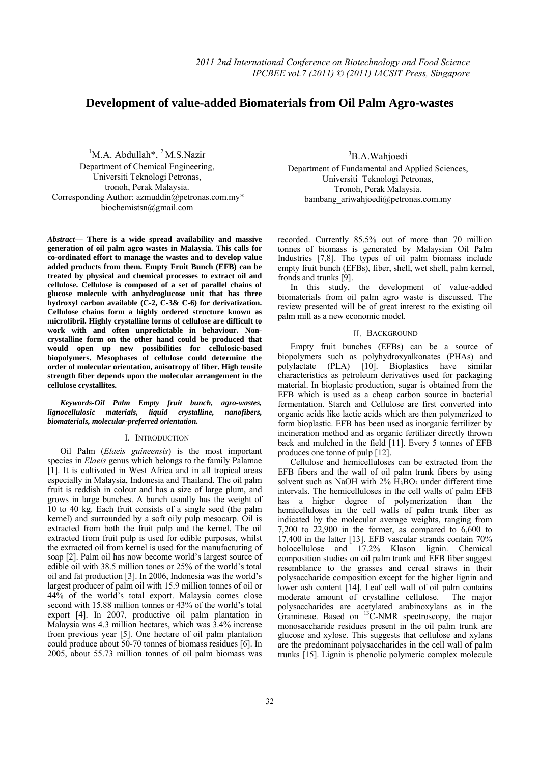# **Development of value-added Biomaterials from Oil Palm Agro-wastes**

<sup>1</sup>M.A. Abdullah<sup>\*</sup>, <sup>2</sup>M.S.Nazir Department of Chemical Engineering, Universiti Teknologi Petronas, tronoh, Perak Malaysia. Corresponding Author: azmuddin@petronas.com.my\* biochemistsn@gmail.com

*Abstract***— There is a wide spread availability and massive generation of oil palm agro wastes in Malaysia. This calls for co-ordinated effort to manage the wastes and to develop value added products from them. Empty Fruit Bunch (EFB) can be treated by physical and chemical processes to extract oil and cellulose. Cellulose is composed of a set of parallel chains of glucose molecule with anhydroglucose unit that has three hydroxyl carbon available (C-2, C-3& C-6) for derivatization. Cellulose chains form a highly ordered structure known as microfibril. Highly crystalline forms of cellulose are difficult to work with and often unpredictable in behaviour. Noncrystalline form on the other hand could be produced that would open up new possibilities for cellulosic-based biopolymers. Mesophases of cellulose could determine the order of molecular orientation, anisotropy of fiber. High tensile strength fiber depends upon the molecular arrangement in the cellulose crystallites.** 

# *Keywords-Oil Palm Empty fruit bunch, agro-wastes, lignocellulosic materials, liquid crystalline, nanofibers, biomaterials, molecular-preferred orientation.*

### I. INTRODUCTION

Oil Palm (*Elaeis guineensis*) is the most important species in *Elaeis* genus which belongs to the family Palamae [1]. It is cultivated in West Africa and in all tropical areas especially in Malaysia, Indonesia and Thailand. The oil palm fruit is reddish in colour and has a size of large plum, and grows in large bunches. A bunch usually has the weight of 10 to 40 kg. Each fruit consists of a single seed (the palm kernel) and surrounded by a soft oily pulp mesocarp. Oil is extracted from both the fruit pulp and the kernel. The oil extracted from fruit pulp is used for edible purposes, whilst the extracted oil from kernel is used for the manufacturing of soap [2]. Palm oil has now become world's largest source of edible oil with 38.5 million tones or 25% of the world's total oil and fat production [3]. In 2006, Indonesia was the world's largest producer of palm oil with 15.9 million tonnes of oil or 44% of the world's total export. Malaysia comes close second with 15.88 million tonnes or 43% of the world's total export [4]. In 2007, productive oil palm plantation in Malaysia was 4.3 million hectares, which was 3.4% increase from previous year [5]. One hectare of oil palm plantation could produce about 50-70 tonnes of biomass residues [6]. In 2005, about 55.73 million tonnes of oil palm biomass was

3 B.A.Wahjoedi Department of Fundamental and Applied Sciences, Universiti Teknologi Petronas, Tronoh, Perak Malaysia. bambang\_ariwahioedi@petronas.com.my

recorded. Currently 85.5% out of more than 70 million tonnes of biomass is generated by Malaysian Oil Palm Industries [7,8]. The types of oil palm biomass include empty fruit bunch (EFBs), fiber, shell, wet shell, palm kernel, fronds and trunks [9].

In this study, the development of value-added biomaterials from oil palm agro waste is discussed. The review presented will be of great interest to the existing oil palm mill as a new economic model.

# II. BACKGROUND

Empty fruit bunches (EFBs) can be a source of biopolymers such as polyhydroxyalkonates (PHAs) and polylactate (PLA) [10]. Bioplastics have similar characteristics as petroleum derivatives used for packaging material. In bioplasic production, sugar is obtained from the EFB which is used as a cheap carbon source in bacterial fermentation. Starch and Cellulose are first converted into organic acids like lactic acids which are then polymerized to form bioplastic. EFB has been used as inorganic fertilizer by incineration method and as organic fertilizer directly thrown back and mulched in the field [11]. Every 5 tonnes of EFB produces one tonne of pulp [12].

Cellulose and hemicelluloses can be extracted from the EFB fibers and the wall of oil palm trunk fibers by using solvent such as NaOH with  $2\%$  H<sub>3</sub>BO<sub>3</sub> under different time intervals. The hemicelluloses in the cell walls of palm EFB has a higher degree of polymerization than the hemicelluloses in the cell walls of palm trunk fiber as indicated by the molecular average weights, ranging from 7,200 to 22,900 in the former, as compared to 6,600 to 17,400 in the latter [13]. EFB vascular strands contain 70% holocellulose and 17.2% Klason lignin. Chemical composition studies on oil palm trunk and EFB fiber suggest resemblance to the grasses and cereal straws in their polysaccharide composition except for the higher lignin and lower ash content [14]. Leaf cell wall of oil palm contains moderate amount of crystalline cellulose. The major polysaccharides are acetylated arabinoxylans as in the Gramineae. Based on  ${}^{13}$ C-NMR spectroscopy, the major monosaccharide residues present in the oil palm trunk are glucose and xylose. This suggests that cellulose and xylans are the predominant polysaccharides in the cell wall of palm trunks [15]. Lignin is phenolic polymeric complex molecule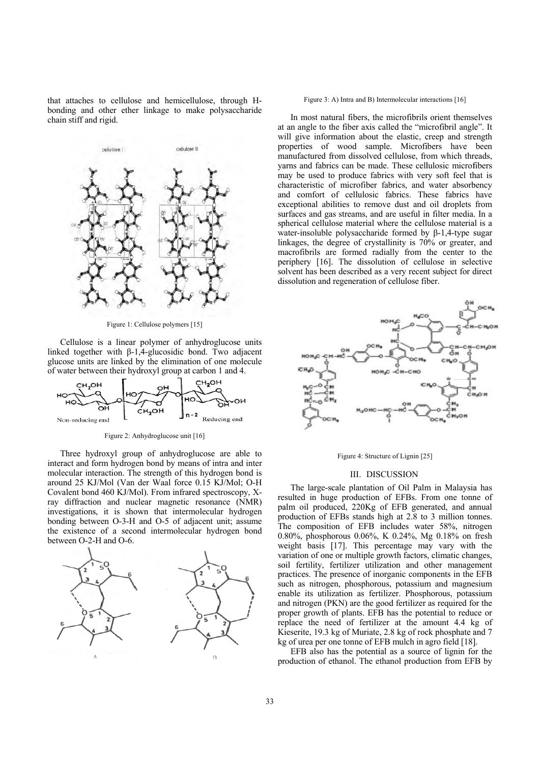that attaches to cellulose and hemicellulose, through Hbonding and other ether linkage to make polysaccharide chain stiff and rigid.



Figure 1: Ce llulose polymers [15]

Cellulose is a linear polymer of anhydroglucose units linked together with  $β-1,4$ -glucosidic bond. Two adjacent glucose units are linked by the elimination of one molecule of water between their hydroxyl group at carbon 1 and 4.



Figure 2: Anhydroglucose unit [16]

Three hydroxyl group of anhydroglucose are able to interact and form hydrogen bond by means of intra and inter molecular interaction. The strength of this hydrogen bond is around 25 KJ/Mol (Van der Waal force 0.15 KJ/Mol; O-H Covalent bond 460 KJ/Mol). From infrared spectroscopy, Xray diffraction and nuclear magnetic resonance (NMR) investigations, it is shown that intermolecular hydrogen bonding between O-3-H and O-5 of adjacent unit; assume the existence of a second intermolecular hydrogen bond between O-2-H and O-6.



#### Figure 3: A) Intra and B) Intermolecular interactions [16]

at an angle to the fiber axis called the "microfibril angle". It will give information about the elastic, creep and strength properties of wood sample. Microfibers have been manufactured from dissolved cellulose, from which threads, yarns and fabrics can be made. These cellulosic microfibers may be used to produce fabrics with very soft feel that is characteristic of microfiber fabrics, and water absorbency and comfort of cellulosic fabrics. These fabrics have exceptional abilities to remove dust and oil droplets from surfaces and gas streams, and are useful in filter media. In a spherical cellulose material where the cellulose material is a water-insoluble polysaccharide formed by  $\beta$ -1,4-type sugar linkages, the degree of crystallinity is 70% or greater, and macrofibrils are formed radially from the center to the periphery [16]. The dissolution of cellulose in selective solvent has been described as a very recent subject for direct dissolution and regeneration of cellulose fiber. In most natural fibers, the microfibrils orient themselves



Figure 4: Structure of Lignin [25]

## III. DIS SCUSSION

resulted in huge production of EFBs. From one tonne of palm oil produced, 220Kg of EFB generated, and annual production of EFBs stands high at 2.8 to 3 million tonnes. The composition of EFB includes water 58%, nitrogen 0.80%, phosphorous 0.06%, K 0.24%, Mg 0.18% on fresh weight basis [17]. This percentage may vary with the variation of one or multiple growth factors, climatic changes, soil fertility, fertilizer utilization and other management practices. The presence of inorganic components in the EFB such as nitrogen, phosphorous, potassium and magnesium enable its utilization as fertilizer. Phosphorous, potassium and nitrogen (PKN) are the good fertilizer as required for the proper growth of plants. EFB has the potential to reduce or replace the need of fertilizer at the amount 4.4 kg of Kieserite, 19.3 kg of Muriate, 2.8 kg of rock phosphate and 7 kg of urea per one tonne of EFB mulch in agro field [18]. The large-scale plantation of Oil Palm in Malaysia has

production of ethanol. The ethanol production from EFB by EFB also has the potential as a source of lignin for the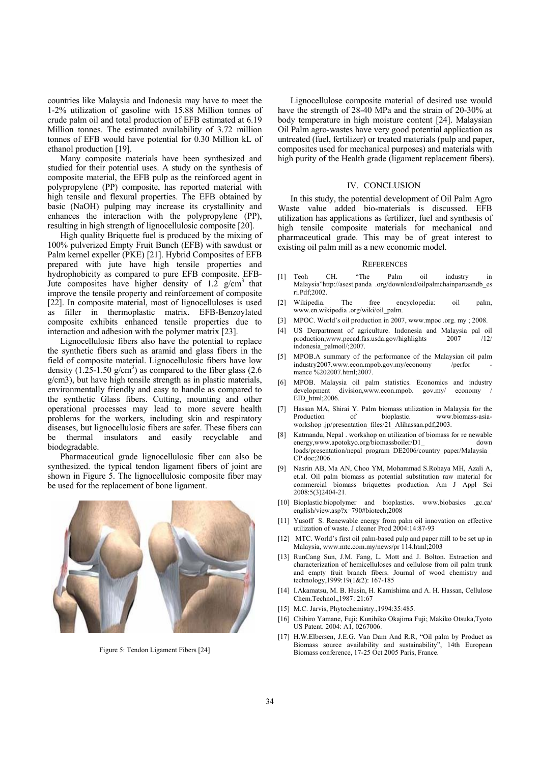countries like Malaysia and Indonesia may have to meet the 1-2% utilization of gasoline with 15.88 Million tonnes of crude palm oil and total production of EFB estimated at 6.19 Million tonnes. The estimated availability of 3.72 million tonnes of EFB would have potential for 0.30 Million kL of ethanol production [19].

Many composite materials have been synthesized and studied for their potential uses. A study on the synthesis of composite material, the EFB pulp as the reinforced agent in polypropylene (PP) composite, has reported material with high tensile and flexural properties. The EFB obtained by basic (NaOH) pulping may increase its crystallinity and enhances the interaction with the polypropylene (PP), resulting in high strength of lignocellulosic composite [20].

High quality Briquette fuel is produced by the mixing of 100% pulverized Empty Fruit Bunch (EFB) with sawdust or Palm kernel expeller (PKE) [21]. Hybrid Composites of EFB prepared with jute have high tensile properties and hydrophobicity as compared to pure EFB composite. EFB-Jute composites have higher density of 1.2  $g/cm<sup>3</sup>$  that improve the tensile property and reinforcement of composite [22]. In composite material, most of lignocelluloses is used as filler in thermoplastic matrix. EFB-Benzoylated composite exhibits enhanced tensile properties due to interaction and adhesion with the polymer matrix [23].

Lignocellulosic fibers also have the potential to replace the synthetic fibers such as aramid and glass fibers in the field of composite material. Lignocellulosic fibers have low density  $(1.25-1.50 \text{ g/cm}^3)$  as compared to the fiber glass  $(2.6 \text{ g/cm}^3)$ g/cm3), but have high tensile strength as in plastic materials, environmentally friendly and easy to handle as compared to the synthetic Glass fibers. Cutting, mounting and other operational processes may lead to more severe health problems for the workers, including skin and respiratory diseases, but lignocellulosic fibers are safer. These fibers can be thermal insulators and easily recyclable and biodegradable.

Pharmaceutical grade lignocellulosic fiber can also be synthesized. the typical tendon ligament fibers of joint are shown in Figure 5. The lignocellulosic composite fiber may be used for the replacement of bone ligament.



Figure 5: Tendon Ligament Fibers [24]

Lignocellulose composite material of desired use would have the strength of 28-40 MPa and the strain of 20-30% at body temperature in high moisture content [24]. Malaysian Oil Palm agro-wastes have very good potential application as untreated (fuel, fertilizer) or treated materials (pulp and paper, composites used for mechanical purposes) and materials with high purity of the Health grade (ligament replacement fibers).

### IV. CONCLUSION

In this study, the potential development of Oil Palm Agro Waste value added bio-materials is discussed. EFB utilization has applications as fertilizer, fuel and synthesis of high tensile composite materials for mechanical and pharmaceutical grade. This may be of great interest to existing oil palm mill as a new economic model.

### **REFERENCES**

- [1] Teoh CH. "The Palm oil industry in Malaysia"http://asest.panda .org/download/oilpalmchainpartaandb\_es ri.Pdf;2002.
- [2] Wikipedia. The free encyclopedia: oil palm, www.en.wikipedia .org/wiki/oil\_palm.
- [3] MPOC. World's oil production in 2007, www.mpoc .org. my ; 2008.
- [4] US Derpartment of agriculture. Indonesia and Malaysia pal oil production,www.pecad.fas.usda.gov/highlights 2007 /12/ indonesia\_palmoil/;2007.
- [5] MPOB.A summary of the performance of the Malaysian oil palm industry2007.www.econ.mpob.gov.my/economy /perfor mance %202007.html;2007.
- [6] MPOB. Malaysia oil palm statistics. Economics and industry development division, www.econ.mpob. gov.my/ economy EID\_html;2006.
- [7] Hassan MA, Shirai Y. Palm biomass utilization in Malaysia for the Production of bioplastic. www.biomass-asiaworkshop .jp/presentation\_files/21\_Alihassan.pdf;2003.
- [8] Katmandu, Nepal . workshop on utilization of biomass for re newable energy,www.apotokyo.org/biomassboiler/D1 down loads/presentation/nepal\_program\_DE2006/country\_paper/Malaysia\_ CP.doc;2006.
- [9] Nasrin AB, Ma AN, Choo YM, Mohammad S.Rohaya MH, Azali A, et.al. Oil palm biomass as potential substitution raw material for commercial biomass briquettes production. Am J Appl Sci 2008:5(3)2404-21.
- [10] Bioplastic.biopolymer and bioplastics. www.biobasics .gc.ca/ english/view.asp?x=790#biotech;2008
- [11] Yusoff S. Renewable energy from palm oil innovation on effective utilization of waste. J cleaner Prod 2004:14:87-93
- [12] MTC. World's first oil palm-based pulp and paper mill to be set up in Malaysia, www.mtc.com.my/news/pr 114.html;2003
- [13] RunCang Sun, J.M. Fang, L. Mott and J. Bolton. Extraction and characterization of hemicelluloses and cellulose from oil palm trunk and empty fruit branch fibers. Journal of wood chemistry and technology,1999:19(1&2): 167-185
- [14] I.Akamatsu, M. B. Husin, H. Kamishima and A. H. Hassan, Cellulose Chem.Technol.,1987: 21:67
- [15] M.C. Jarvis, Phytochemistry.,1994:35:485.
- [16] Chihiro Yamane, Fuji; Kunihiko Okajima Fuji; Makiko Otsuka,Tyoto US Patent. 2004: A1, 0267006.
- [17] H.W.Elbersen, J.E.G. Van Dam And R.R, "Oil palm by Product as Biomass source availability and sustainability", 14th European Biomass conference, 17-25 Oct 2005 Paris, France.